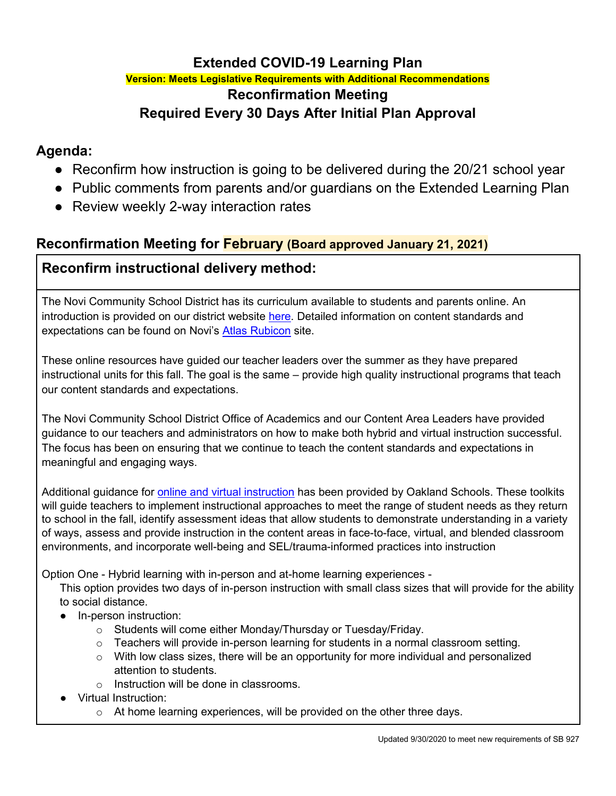## **Extended COVID-19 Learning Plan**

## **Version: Meets Legislative Requirements with Additional Recommendations Reconfirmation Meeting Required Every 30 Days After Initial Plan Approval**

# **Agenda:**

- Reconfirm how instruction is going to be delivered during the 20/21 school year
- Public comments from parents and/or guardians on the Extended Learning Plan
- Review weekly 2-way interaction rates

## **Reconfirmation Meeting for February (Board approved January 21, 2021)**

# **Reconfirm instructional delivery method:**

The Novi Community School District has its curriculum available to students and parents online. An introduction is provided on our district website [here.](https://www.novi.k12.mi.us/academics/atlascurriculum-information) Detailed information on content standards and expectations can be found on Novi's [Atlas Rubicon](https://novik12-oakland-public.rubiconatlas.org/Atlas/Public/View/Default) site.

These online resources have guided our teacher leaders over the summer as they have prepared instructional units for this fall. The goal is the same – provide high quality instructional programs that teach our content standards and expectations.

The Novi Community School District Office of Academics and our Content Area Leaders have provided guidance to our teachers and administrators on how to make both hybrid and virtual instruction successful. The focus has been on ensuring that we continue to teach the content standards and expectations in meaningful and engaging ways.

Additional guidance for **online and virtual instruction** has been provided by Oakland Schools. These toolkits will guide teachers to implement instructional approaches to meet the range of student needs as they return to school in the fall, identify assessment ideas that allow students to demonstrate understanding in a variety of ways, assess and provide instruction in the content areas in face-to-face, virtual, and blended classroom environments, and incorporate well-being and SEL/trauma-informed practices into instruction

Option One - Hybrid learning with in-person and at-home learning experiences -

This option provides two days of in-person instruction with small class sizes that will provide for the ability to social distance.

- In-person instruction:
	- o Students will come either Monday/Thursday or Tuesday/Friday.
	- $\circ$  Teachers will provide in-person learning for students in a normal classroom setting.
	- $\circ$  With low class sizes, there will be an opportunity for more individual and personalized attention to students.
	- o Instruction will be done in classrooms.
- **Virtual Instruction:** 
	- $\circ$  At home learning experiences, will be provided on the other three days.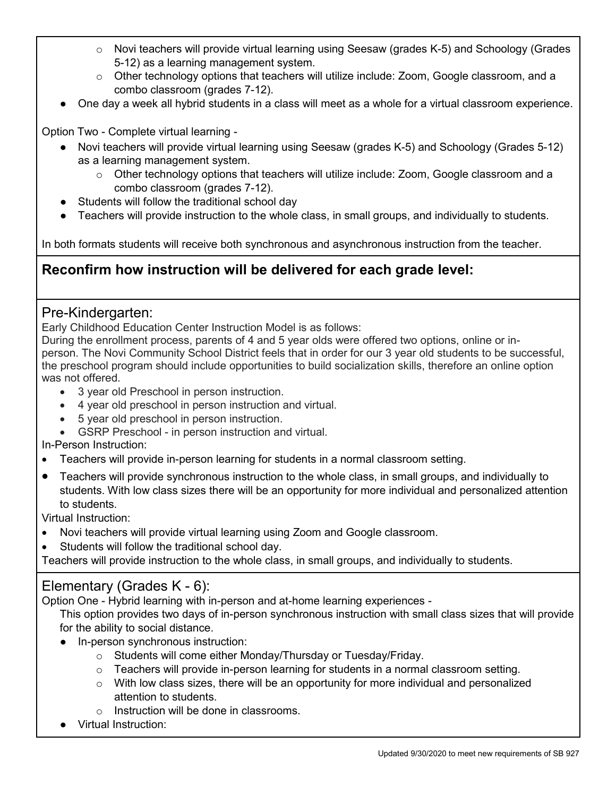- $\circ$  Novi teachers will provide virtual learning using Seesaw (grades K-5) and Schoology (Grades 5-12) as a learning management system.
- $\circ$  Other technology options that teachers will utilize include: Zoom, Google classroom, and a combo classroom (grades 7-12).
- One day a week all hybrid students in a class will meet as a whole for a virtual classroom experience.

Option Two - Complete virtual learning -

- Novi teachers will provide virtual learning using Seesaw (grades K-5) and Schoology (Grades 5-12) as a learning management system.
	- $\circ$  Other technology options that teachers will utilize include: Zoom, Google classroom and a combo classroom (grades 7-12).
- Students will follow the traditional school day
- Teachers will provide instruction to the whole class, in small groups, and individually to students.

In both formats students will receive both synchronous and asynchronous instruction from the teacher.

# **Reconfirm how instruction will be delivered for each grade level:**

#### Pre-Kindergarten:

Early Childhood Education Center Instruction Model is as follows:

During the enrollment process, parents of 4 and 5 year olds were offered two options, online or inperson. The Novi Community School District feels that in order for our 3 year old students to be successful, the preschool program should include opportunities to build socialization skills, therefore an online option was not offered.

- 3 year old Preschool in person instruction.
- 4 year old preschool in person instruction and virtual.
- 5 year old preschool in person instruction.
- GSRP Preschool in person instruction and virtual.

In-Person Instruction:

- Teachers will provide in-person learning for students in a normal classroom setting.
- Teachers will provide synchronous instruction to the whole class, in small groups, and individually to students. With low class sizes there will be an opportunity for more individual and personalized attention to students.

Virtual Instruction:

- Novi teachers will provide virtual learning using Zoom and Google classroom.
- Students will follow the traditional school day.

Teachers will provide instruction to the whole class, in small groups, and individually to students.

## Elementary (Grades K - 6):

Option One - Hybrid learning with in-person and at-home learning experiences -

This option provides two days of in-person synchronous instruction with small class sizes that will provide for the ability to social distance.

- In-person synchronous instruction:
	- o Students will come either Monday/Thursday or Tuesday/Friday.
	- $\circ$  Teachers will provide in-person learning for students in a normal classroom setting.
	- $\circ$  With low class sizes, there will be an opportunity for more individual and personalized attention to students.
	- o Instruction will be done in classrooms.
- Virtual Instruction: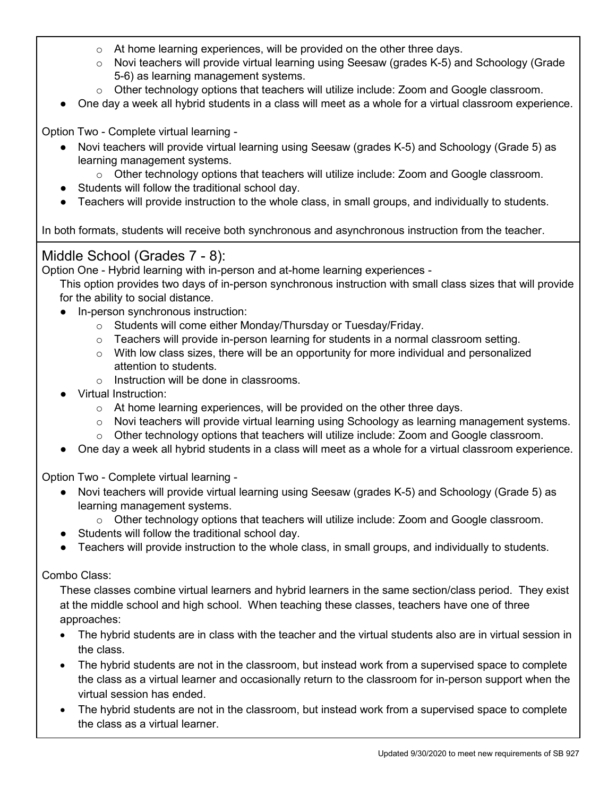- $\circ$  At home learning experiences, will be provided on the other three days.
- $\circ$  Novi teachers will provide virtual learning using Seesaw (grades K-5) and Schoology (Grade 5-6) as learning management systems.
- $\circ$  Other technology options that teachers will utilize include: Zoom and Google classroom.
- One day a week all hybrid students in a class will meet as a whole for a virtual classroom experience.

Option Two - Complete virtual learning -

- Novi teachers will provide virtual learning using Seesaw (grades K-5) and Schoology (Grade 5) as learning management systems.
	- $\circ$  Other technology options that teachers will utilize include: Zoom and Google classroom.
- Students will follow the traditional school day.
- Teachers will provide instruction to the whole class, in small groups, and individually to students.

In both formats, students will receive both synchronous and asynchronous instruction from the teacher.

### Middle School (Grades 7 - 8):

Option One - Hybrid learning with in-person and at-home learning experiences -

This option provides two days of in-person synchronous instruction with small class sizes that will provide for the ability to social distance.

- In-person synchronous instruction:
	- o Students will come either Monday/Thursday or Tuesday/Friday.
	- $\circ$  Teachers will provide in-person learning for students in a normal classroom setting.
	- $\circ$  With low class sizes, there will be an opportunity for more individual and personalized attention to students.
	- o Instruction will be done in classrooms.
- Virtual Instruction:
	- $\circ$  At home learning experiences, will be provided on the other three days.
	- $\circ$  Novi teachers will provide virtual learning using Schoology as learning management systems.
	- $\circ$  Other technology options that teachers will utilize include: Zoom and Google classroom.
- One day a week all hybrid students in a class will meet as a whole for a virtual classroom experience.

Option Two - Complete virtual learning -

- Novi teachers will provide virtual learning using Seesaw (grades K-5) and Schoology (Grade 5) as learning management systems.
	- $\circ$  Other technology options that teachers will utilize include: Zoom and Google classroom.
- Students will follow the traditional school day.
- Teachers will provide instruction to the whole class, in small groups, and individually to students.

Combo Class:

These classes combine virtual learners and hybrid learners in the same section/class period. They exist at the middle school and high school. When teaching these classes, teachers have one of three approaches:

- The hybrid students are in class with the teacher and the virtual students also are in virtual session in the class.
- The hybrid students are not in the classroom, but instead work from a supervised space to complete the class as a virtual learner and occasionally return to the classroom for in-person support when the virtual session has ended.
- The hybrid students are not in the classroom, but instead work from a supervised space to complete the class as a virtual learner.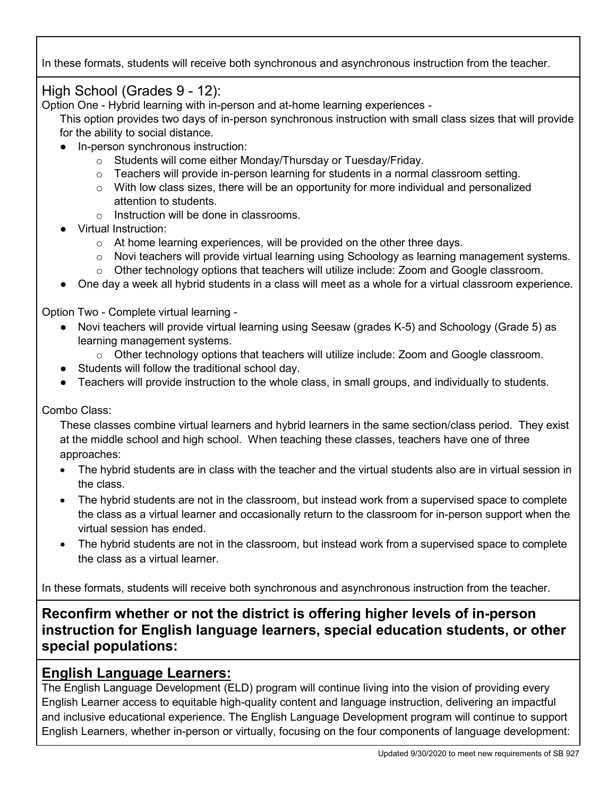In these formats, students will receive both synchronous and asynchronous instruction from the teacher.

## High School (Grades 9 - 12):

Option One - Hybrid learning with in-person and at-home learning experiences -

This option provides two days of in-person synchronous instruction with small class sizes that will provide for the ability to social distance.

- In-person synchronous instruction:
	- o Students will come either Monday/Thursday or Tuesday/Friday.
	- $\circ$  Teachers will provide in-person learning for students in a normal classroom setting.
	- $\circ$  With low class sizes, there will be an opportunity for more individual and personalized attention to students.
	- o Instruction will be done in classrooms.
- **Virtual Instruction:** 
	- o At home learning experiences, will be provided on the other three days.
	- $\circ$  Novi teachers will provide virtual learning using Schoology as learning management systems.
	- o Other technology options that teachers will utilize include: Zoom and Google classroom.
- One day a week all hybrid students in a class will meet as a whole for a virtual classroom experience.

Option Two - Complete virtual learning -

- Novi teachers will provide virtual learning using Seesaw (grades K-5) and Schoology (Grade 5) as learning management systems.
	- $\circ$  Other technology options that teachers will utilize include: Zoom and Google classroom.
- Students will follow the traditional school day.
- Teachers will provide instruction to the whole class, in small groups, and individually to students.

#### Combo Class:

These classes combine virtual learners and hybrid learners in the same section/class period. They exist at the middle school and high school. When teaching these classes, teachers have one of three approaches:

- The hybrid students are in class with the teacher and the virtual students also are in virtual session in the class.
- The hybrid students are not in the classroom, but instead work from a supervised space to complete the class as a virtual learner and occasionally return to the classroom for in-person support when the virtual session has ended.
- The hybrid students are not in the classroom, but instead work from a supervised space to complete the class as a virtual learner.

In these formats, students will receive both synchronous and asynchronous instruction from the teacher.

**Reconfirm whether or not the district is offering higher levels of in-person instruction for English language learners, special education students, or other special populations:**

#### **English Language Learners:**

The English Language Development (ELD) program will continue living into the vision of providing every English Learner access to equitable high-quality content and language instruction, delivering an impactful and inclusive educational experience. The English Language Development program will continue to support English Learners, whether in-person or virtually, focusing on the four components of language development: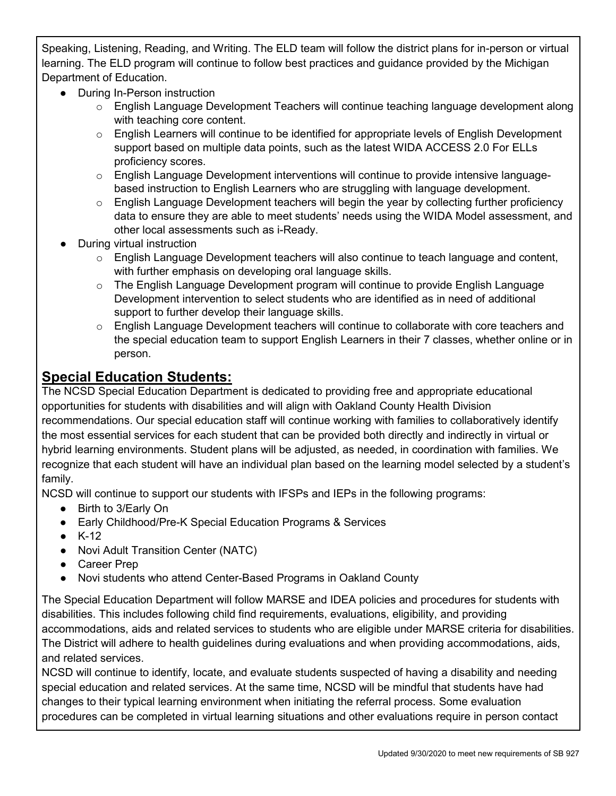Speaking, Listening, Reading, and Writing. The ELD team will follow the district plans for in-person or virtual learning. The ELD program will continue to follow best practices and guidance provided by the Michigan Department of Education.

- During In-Person instruction
	- o English Language Development Teachers will continue teaching language development along with teaching core content.
	- $\circ$  English Learners will continue to be identified for appropriate levels of English Development support based on multiple data points, such as the latest WIDA ACCESS 2.0 For ELLs proficiency scores.
	- $\circ$  English Language Development interventions will continue to provide intensive languagebased instruction to English Learners who are struggling with language development.
	- $\circ$  English Language Development teachers will begin the year by collecting further proficiency data to ensure they are able to meet students' needs using the WIDA Model assessment, and other local assessments such as i-Ready.
- **During virtual instruction** 
	- $\circ$  English Language Development teachers will also continue to teach language and content, with further emphasis on developing oral language skills.
	- $\circ$  The English Language Development program will continue to provide English Language Development intervention to select students who are identified as in need of additional support to further develop their language skills.
	- o English Language Development teachers will continue to collaborate with core teachers and the special education team to support English Learners in their 7 classes, whether online or in person.

## **Special Education Students:**

The NCSD Special Education Department is dedicated to providing free and appropriate educational opportunities for students with disabilities and will align with Oakland County Health Division recommendations. Our special education staff will continue working with families to collaboratively identify the most essential services for each student that can be provided both directly and indirectly in virtual or hybrid learning environments. Student plans will be adjusted, as needed, in coordination with families. We recognize that each student will have an individual plan based on the learning model selected by a student's family.

NCSD will continue to support our students with IFSPs and IEPs in the following programs:

- Birth to 3/Early On
- Early Childhood/Pre-K Special Education Programs & Services
- $\bullet$  K-12
- Novi Adult Transition Center (NATC)
- Career Prep
- Novi students who attend Center-Based Programs in Oakland County

The Special Education Department will follow MARSE and IDEA policies and procedures for students with disabilities. This includes following child find requirements, evaluations, eligibility, and providing accommodations, aids and related services to students who are eligible under MARSE criteria for disabilities. The District will adhere to health guidelines during evaluations and when providing accommodations, aids, and related services.

NCSD will continue to identify, locate, and evaluate students suspected of having a disability and needing special education and related services. At the same time, NCSD will be mindful that students have had changes to their typical learning environment when initiating the referral process. Some evaluation procedures can be completed in virtual learning situations and other evaluations require in person contact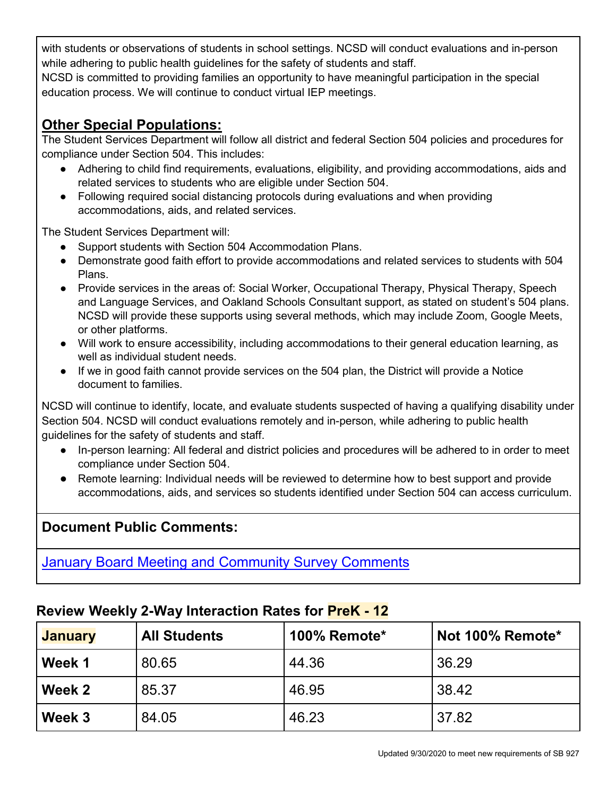with students or observations of students in school settings. NCSD will conduct evaluations and in-person while adhering to public health guidelines for the safety of students and staff.

NCSD is committed to providing families an opportunity to have meaningful participation in the special education process. We will continue to conduct virtual IEP meetings.

# **Other Special Populations:**

The Student Services Department will follow all district and federal Section 504 policies and procedures for compliance under Section 504. This includes:

- Adhering to child find requirements, evaluations, eligibility, and providing accommodations, aids and related services to students who are eligible under Section 504.
- Following required social distancing protocols during evaluations and when providing accommodations, aids, and related services.

The Student Services Department will:

- Support students with Section 504 Accommodation Plans.
- Demonstrate good faith effort to provide accommodations and related services to students with 504 Plans.
- Provide services in the areas of: Social Worker, Occupational Therapy, Physical Therapy, Speech and Language Services, and Oakland Schools Consultant support, as stated on student's 504 plans. NCSD will provide these supports using several methods, which may include Zoom, Google Meets, or other platforms.
- Will work to ensure accessibility, including accommodations to their general education learning, as well as individual student needs.
- If we in good faith cannot provide services on the 504 plan, the District will provide a Notice document to families.

NCSD will continue to identify, locate, and evaluate students suspected of having a qualifying disability under Section 504. NCSD will conduct evaluations remotely and in-person, while adhering to public health guidelines for the safety of students and staff.

- In-person learning: All federal and district policies and procedures will be adhered to in order to meet compliance under Section 504.
- Remote learning: Individual needs will be reviewed to determine how to best support and provide accommodations, aids, and services so students identified under Section 504 can access curriculum.

# **Document Public Comments:**

January [Board Meeting and Community Survey Comments](https://resources.finalsite.net/images/v1612546845/novik12mius/jtdskhgjxa7b7os9rtug/BoardofEducationPublicCommentRequestResponses12121.pdf)

## **Review Weekly 2-Way Interaction Rates for PreK - 12**

| <b>January</b> | <b>All Students</b> | 100% Remote* | Not 100% Remote* |
|----------------|---------------------|--------------|------------------|
| Week 1         | 80.65               | 44.36        | 36.29            |
| Week 2         | 85.37               | 46.95        | 38.42            |
| Week 3         | 84.05               | 46.23        | 37.82            |